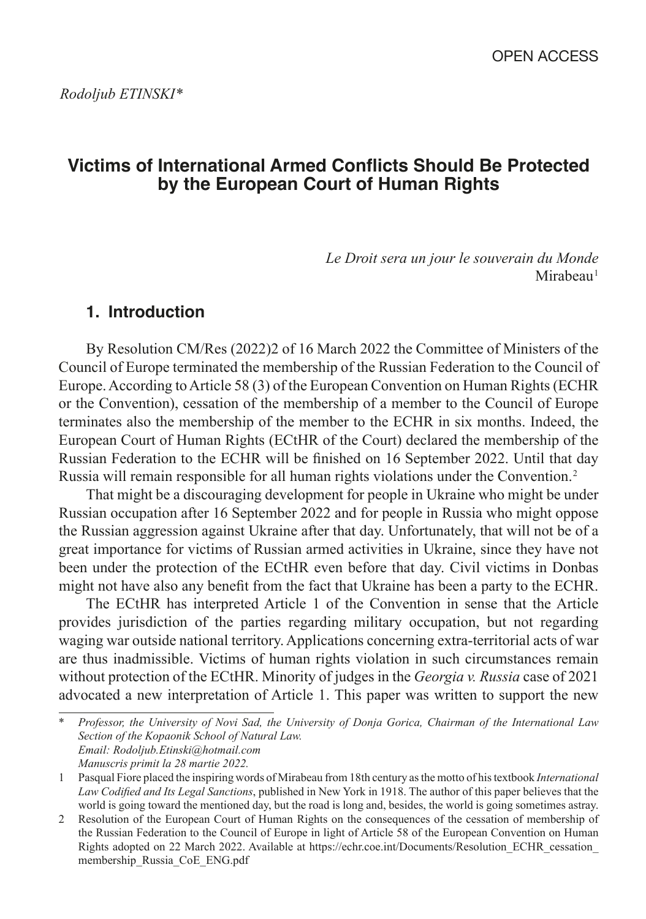# **Victims of International Armed Conflicts Should Be Protected by the European Court of Human Rights**

*Le Droit sera un jour le souverain du Monde* Mirabeau<sup>1</sup>

## **1. Introduction**

By Resolution CM/Res (2022)2 of 16 March 2022 the Committee of Ministers of the Council of Europe terminated the membership of the Russian Federation to the Council of Europe. According to Article 58 (3) of the European Convention on Human Rights (ECHR or the Convention), cessation of the membership of a member to the Council of Europe terminates also the membership of the member to the ECHR in six months. Indeed, the European Court of Human Rights (ECtHR of the Court) declared the membership of the Russian Federation to the ECHR will be finished on 16 September 2022. Until that day Russia will remain responsible for all human rights violations under the Convention. 2

That might be a discouraging development for people in Ukraine who might be under Russian occupation after 16 September 2022 and for people in Russia who might oppose the Russian aggression against Ukraine after that day. Unfortunately, that will not be of a great importance for victims of Russian armed activities in Ukraine, since they have not been under the protection of the ECtHR even before that day. Civil victims in Donbas might not have also any benefit from the fact that Ukraine has been a party to the ECHR.

The ECtHR has interpreted Article 1 of the Convention in sense that the Article provides jurisdiction of the parties regarding military occupation, but not regarding waging war outside national territory. Applications concerning extra-territorial acts of war are thus inadmissible. Victims of human rights violation in such circumstances remain without protection of the ECtHR. Minority of judges in the *Georgia v. Russia* case of 2021 advocated a new interpretation of Article 1. This paper was written to support the new

\* *Professor, the University of Novi Sad, the University of Donja Gorica, Chairman of the International Law Section of the Kopaonik School of Natural Law. Email: Rodoljub.Etinski@hotmail.com Manuscris primit la 28 martie 2022.*

<sup>1</sup> Pasqual Fiore placed the inspiring words of Mirabeau from 18th century as the motto of his textbook *International Law Codified and Its Legal Sanctions*, published in New York in 1918. The author of this paper believes that the world is going toward the mentioned day, but the road is long and, besides, the world is going sometimes astray.

<sup>2</sup> Resolution of the European Court of Human Rights on the consequences of the cessation of membership of the Russian Federation to the Council of Europe in light of Article 58 of the European Convention on Human Rights adopted on 22 March 2022. Available at https://echr.coe.int/Documents/Resolution\_ECHR\_cessation\_ membership\_Russia\_CoE\_ENG.pdf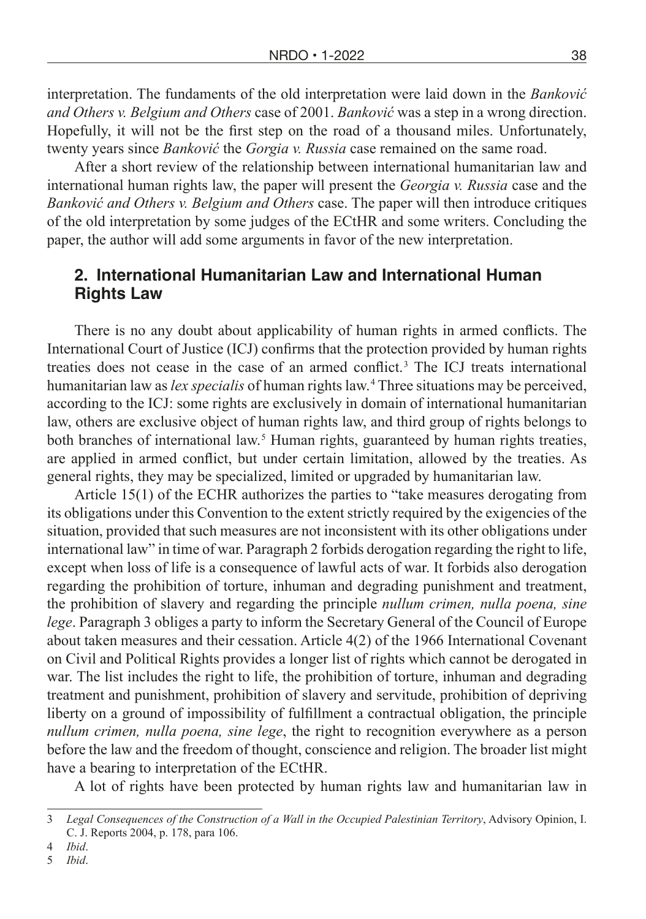interpretation. The fundaments of the old interpretation were laid down in the *Banković and Others v. Belgium and Others* case of 2001. *Banković* was a step in a wrong direction. Hopefully, it will not be the first step on the road of a thousand miles. Unfortunately, twenty years since *Banković* the *Gorgia v. Russia* case remained on the same road.

After a short review of the relationship between international humanitarian law and international human rights law, the paper will present the *Georgia v. Russia* case and the *Banković and Others v. Belgium and Others* case. The paper will then introduce critiques of the old interpretation by some judges of the ECtHR and some writers. Concluding the paper, the author will add some arguments in favor of the new interpretation.

## **2. International Humanitarian Law and International Human Rights Law**

There is no any doubt about applicability of human rights in armed conflicts. The International Court of Justice (ICJ) confirms that the protection provided by human rights treaties does not cease in the case of an armed conflict. 3 The ICJ treats international humanitarian law as *lex specialis* of human rights law. 4 Three situations may be perceived, according to the ICJ: some rights are exclusively in domain of international humanitarian law, others are exclusive object of human rights law, and third group of rights belongs to both branches of international law. 5 Human rights, guaranteed by human rights treaties, are applied in armed conflict, but under certain limitation, allowed by the treaties. As general rights, they may be specialized, limited or upgraded by humanitarian law.

Article 15(1) of the ECHR authorizes the parties to "take measures derogating from its obligations under this Convention to the extent strictly required by the exigencies of the situation, provided that such measures are not inconsistent with its other obligations under international law" in time of war. Paragraph 2 forbids derogation regarding the right to life, except when loss of life is a consequence of lawful acts of war. It forbids also derogation regarding the prohibition of torture, inhuman and degrading punishment and treatment, the prohibition of slavery and regarding the principle *nullum crimen, nulla poena, sine lege*. Paragraph 3 obliges a party to inform the Secretary General of the Council of Europe about taken measures and their cessation. Article 4(2) of the 1966 International Covenant on Civil and Political Rights provides a longer list of rights which cannot be derogated in war. The list includes the right to life, the prohibition of torture, inhuman and degrading treatment and punishment, prohibition of slavery and servitude, prohibition of depriving liberty on a ground of impossibility of fulfillment a contractual obligation, the principle *nullum crimen, nulla poena, sine lege*, the right to recognition everywhere as a person before the law and the freedom of thought, conscience and religion. The broader list might have a bearing to interpretation of the ECtHR.

A lot of rights have been protected by human rights law and humanitarian law in

5 *Ibid*.

<sup>3</sup> *Legal Consequences of the Construction of a Wall in the Occupied Palestinian Territory*, Advisory Opinion, I. C. J. Reports 2004, p. 178, para 106.

<sup>4</sup> *Ibid*.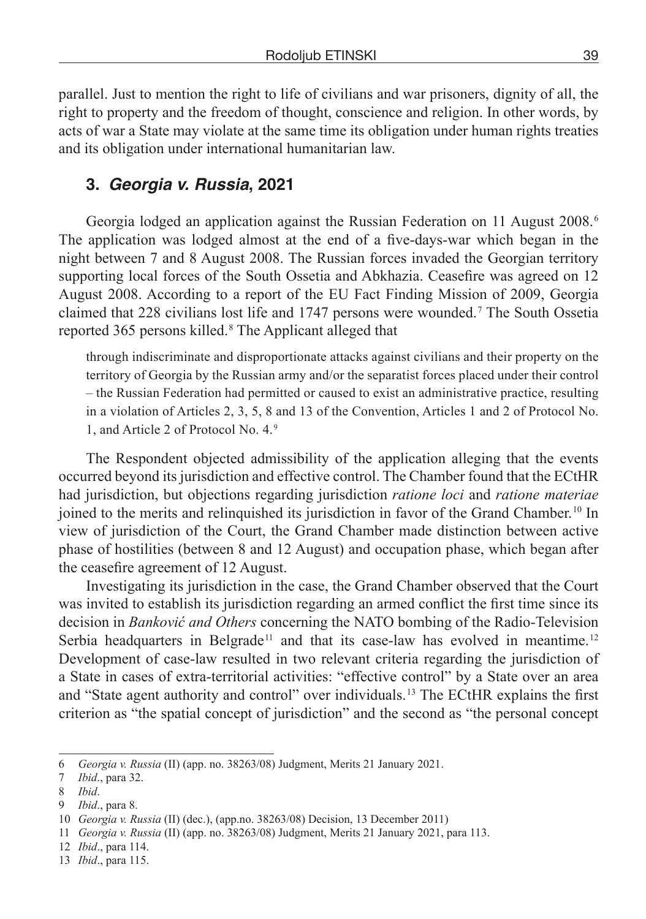parallel. Just to mention the right to life of civilians and war prisoners, dignity of all, the right to property and the freedom of thought, conscience and religion. In other words, by acts of war a State may violate at the same time its obligation under human rights treaties and its obligation under international humanitarian law.

## **3.** *Georgia v. Russia***, 2021**

Georgia lodged an application against the Russian Federation on 11 August 2008. 6 The application was lodged almost at the end of a five-days-war which began in the night between 7 and 8 August 2008. The Russian forces invaded the Georgian territory supporting local forces of the South Ossetia and Abkhazia. Ceasefire was agreed on 12 August 2008. According to a report of the EU Fact Finding Mission of 2009, Georgia claimed that 228 civilians lost life and 1747 persons were wounded. 7 The South Ossetia reported 365 persons killed. 8 The Applicant alleged that

through indiscriminate and disproportionate attacks against civilians and their property on the territory of Georgia by the Russian army and/or the separatist forces placed under their control – the Russian Federation had permitted or caused to exist an administrative practice, resulting in a violation of Articles 2, 3, 5, 8 and 13 of the Convention, Articles 1 and 2 of Protocol No. 1, and Article 2 of Protocol No. 4. 9

The Respondent objected admissibility of the application alleging that the events occurred beyond its jurisdiction and effective control. The Chamber found that the ECtHR had jurisdiction, but objections regarding jurisdiction *ratione loci* and *ratione materiae* joined to the merits and relinquished its jurisdiction in favor of the Grand Chamber. 10 In view of jurisdiction of the Court, the Grand Chamber made distinction between active phase of hostilities (between 8 and 12 August) and occupation phase, which began after the ceasefire agreement of 12 August.

Investigating its jurisdiction in the case, the Grand Chamber observed that the Court was invited to establish its jurisdiction regarding an armed conflict the first time since its decision in *Banković and Others* concerning the NATO bombing of the Radio-Television Serbia headquarters in Belgrade<sup>11</sup> and that its case-law has evolved in meantime.<sup>12</sup> Development of case-law resulted in two relevant criteria regarding the jurisdiction of a State in cases of extra-territorial activities: "effective control" by a State over an area and "State agent authority and control" over individuals. 13 The ECtHR explains the first criterion as "the spatial concept of jurisdiction" and the second as "the personal concept

<sup>6</sup> *Georgia v. Russia* (II) (app. no. 38263/08) Judgment, Merits 21 January 2021.

<sup>7</sup> *Ibid*., para 32.

<sup>8</sup> *Ibid*.

<sup>9</sup> *Ibid*., para 8.

<sup>10</sup> *Georgia v. Russia* (II) (dec.), (app.no. 38263/08) Decision, 13 December 2011)

<sup>11</sup> *Georgia v. Russia* (II) (app. no. 38263/08) Judgment, Merits 21 January 2021, para 113.

<sup>12</sup> *Ibid*., para 114.

<sup>13</sup> *Ibid*., para 115.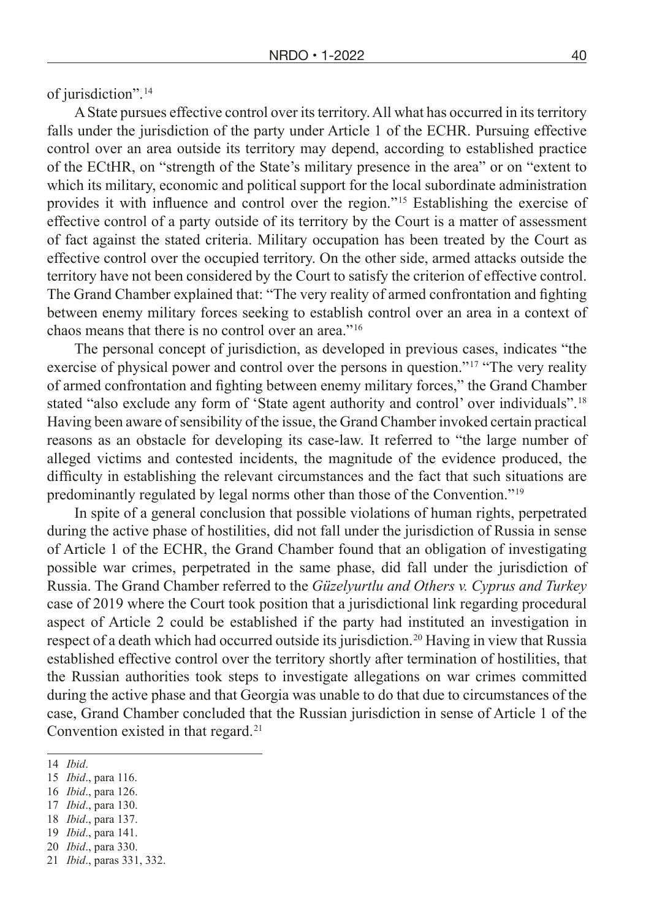of jurisdiction". 14

A State pursues effective control over its territory. All what has occurred in its territory falls under the jurisdiction of the party under Article 1 of the ECHR. Pursuing effective control over an area outside its territory may depend, according to established practice of the ECtHR, on "strength of the State's military presence in the area" or on "extent to which its military, economic and political support for the local subordinate administration provides it with influence and control over the region." 15 Establishing the exercise of effective control of a party outside of its territory by the Court is a matter of assessment of fact against the stated criteria. Military occupation has been treated by the Court as effective control over the occupied territory. On the other side, armed attacks outside the territory have not been considered by the Court to satisfy the criterion of effective control. The Grand Chamber explained that: "The very reality of armed confrontation and fighting between enemy military forces seeking to establish control over an area in a context of chaos means that there is no control over an area." 16

The personal concept of jurisdiction, as developed in previous cases, indicates "the exercise of physical power and control over the persons in question."<sup>17</sup> "The very reality of armed confrontation and fighting between enemy military forces," the Grand Chamber stated "also exclude any form of 'State agent authority and control' over individuals".<sup>18</sup> Having been aware of sensibility of the issue, the Grand Chamber invoked certain practical reasons as an obstacle for developing its case-law. It referred to "the large number of alleged victims and contested incidents, the magnitude of the evidence produced, the difficulty in establishing the relevant circumstances and the fact that such situations are predominantly regulated by legal norms other than those of the Convention." 19

In spite of a general conclusion that possible violations of human rights, perpetrated during the active phase of hostilities, did not fall under the jurisdiction of Russia in sense of Article 1 of the ECHR, the Grand Chamber found that an obligation of investigating possible war crimes, perpetrated in the same phase, did fall under the jurisdiction of Russia. The Grand Chamber referred to the *Güzelyurtlu and Others v. Cyprus and Turkey* case of 2019 where the Court took position that a jurisdictional link regarding procedural aspect of Article 2 could be established if the party had instituted an investigation in respect of a death which had occurred outside its jurisdiction.<sup>20</sup> Having in view that Russia established effective control over the territory shortly after termination of hostilities, that the Russian authorities took steps to investigate allegations on war crimes committed during the active phase and that Georgia was unable to do that due to circumstances of the case, Grand Chamber concluded that the Russian jurisdiction in sense of Article 1 of the Convention existed in that regard. 21

<sup>14</sup> *Ibid*.

<sup>15</sup> *Ibid*., para 116.

<sup>16</sup> *Ibid*., para 126.

<sup>17</sup> *Ibid*., para 130.

<sup>18</sup> *Ibid*., para 137.

<sup>19</sup> *Ibid*., para 141. 20 *Ibid*., para 330.

<sup>21</sup> *Ibid*., paras 331, 332.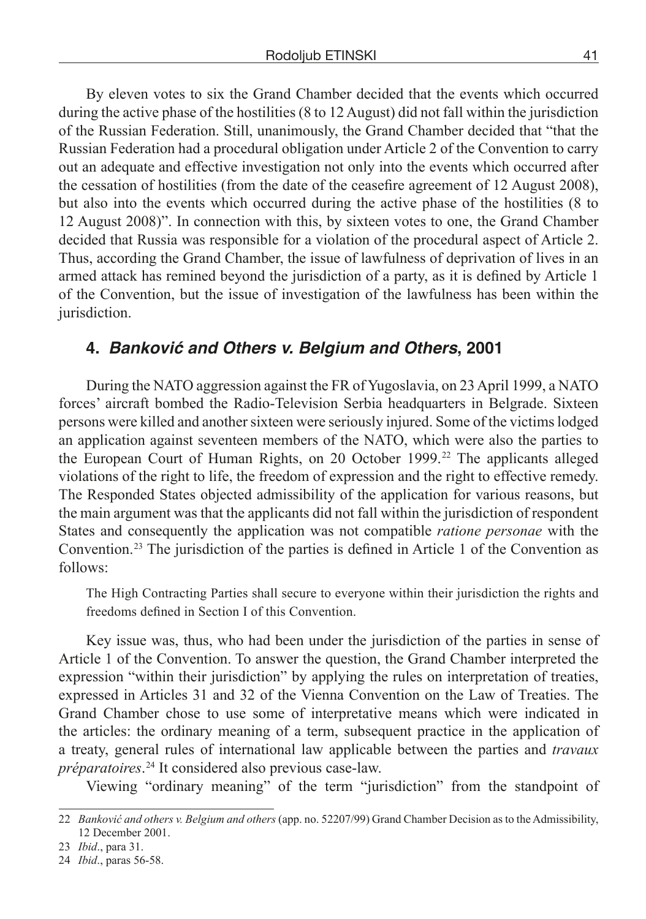By eleven votes to six the Grand Chamber decided that the events which occurred during the active phase of the hostilities (8 to 12 August) did not fall within the jurisdiction of the Russian Federation. Still, unanimously, the Grand Chamber decided that "that the Russian Federation had a procedural obligation under Article 2 of the Convention to carry out an adequate and effective investigation not only into the events which occurred after the cessation of hostilities (from the date of the ceasefire agreement of 12 August 2008), but also into the events which occurred during the active phase of the hostilities (8 to 12 August 2008)". In connection with this, by sixteen votes to one, the Grand Chamber decided that Russia was responsible for a violation of the procedural aspect of Article 2. Thus, according the Grand Chamber, the issue of lawfulness of deprivation of lives in an armed attack has remined beyond the jurisdiction of a party, as it is defined by Article 1 of the Convention, but the issue of investigation of the lawfulness has been within the jurisdiction.

## **4. Banković and Others v. Belgium and Others, 2001**

During the NATO aggression against the FR of Yugoslavia, on 23 April 1999, a NATO forces' aircraft bombed the Radio-Television Serbia headquarters in Belgrade. Sixteen persons were killed and another sixteen were seriously injured. Some of the victims lodged an application against seventeen members of the NATO, which were also the parties to the European Court of Human Rights, on 20 October 1999. 22 The applicants alleged violations of the right to life, the freedom of expression and the right to effective remedy. The Responded States objected admissibility of the application for various reasons, but the main argument was that the applicants did not fall within the jurisdiction of respondent States and consequently the application was not compatible *ratione personae* with the Convention.<sup>23</sup> The jurisdiction of the parties is defined in Article 1 of the Convention as follows:

The High Contracting Parties shall secure to everyone within their jurisdiction the rights and freedoms defined in Section I of this Convention.

Key issue was, thus, who had been under the jurisdiction of the parties in sense of Article 1 of the Convention. To answer the question, the Grand Chamber interpreted the expression "within their jurisdiction" by applying the rules on interpretation of treaties, expressed in Articles 31 and 32 of the Vienna Convention on the Law of Treaties. The Grand Chamber chose to use some of interpretative means which were indicated in the articles: the ordinary meaning of a term, subsequent practice in the application of a treaty, general rules of international law applicable between the parties and *travaux préparatoires*.  24 It considered also previous case-law.

Viewing "ordinary meaning" of the term "jurisdiction" from the standpoint of

<sup>22</sup> *Banković and others v. Belgium and others* (app. no. 52207/99) Grand Chamber Decision as to the Admissibility, 12 December 2001.

<sup>23</sup> *Ibid*., para 31.

<sup>24</sup> *Ibid*., paras 56-58.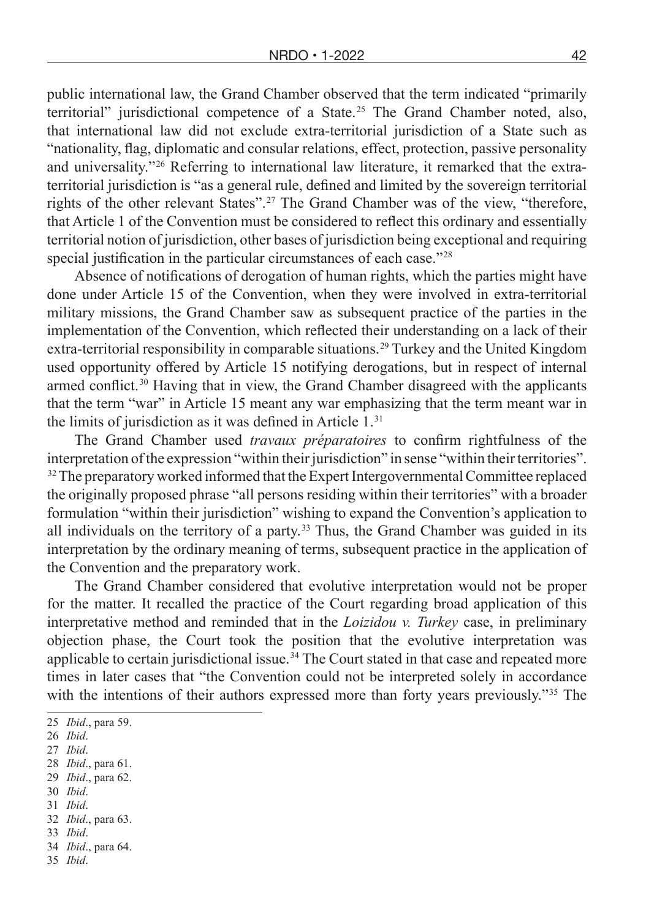public international law, the Grand Chamber observed that the term indicated "primarily territorial" jurisdictional competence of a State. 25 The Grand Chamber noted, also, that international law did not exclude extra-territorial jurisdiction of a State such as "nationality, flag, diplomatic and consular relations, effect, protection, passive personality and universality.<sup> $226$ </sup> Referring to international law literature, it remarked that the extraterritorial jurisdiction is "as a general rule, defined and limited by the sovereign territorial rights of the other relevant States". 27 The Grand Chamber was of the view, "therefore, that Article 1 of the Convention must be considered to reflect this ordinary and essentially territorial notion of jurisdiction, other bases of jurisdiction being exceptional and requiring special justification in the particular circumstances of each case.<sup>"28</sup>

Absence of notifications of derogation of human rights, which the parties might have done under Article 15 of the Convention, when they were involved in extra-territorial military missions, the Grand Chamber saw as subsequent practice of the parties in the implementation of the Convention, which reflected their understanding on a lack of their extra-territorial responsibility in comparable situations. 29 Turkey and the United Kingdom used opportunity offered by Article 15 notifying derogations, but in respect of internal armed conflict.<sup>30</sup> Having that in view, the Grand Chamber disagreed with the applicants that the term "war" in Article 15 meant any war emphasizing that the term meant war in the limits of jurisdiction as it was defined in Article 1. 31

The Grand Chamber used *travaux préparatoires* to confirm rightfulness of the interpretation of the expression "within their jurisdiction" in sense "within their territories". <sup>32</sup> The preparatory worked informed that the Expert Intergovernmental Committee replaced the originally proposed phrase "all persons residing within their territories" with a broader formulation "within their jurisdiction" wishing to expand the Convention's application to all individuals on the territory of a party.<sup>33</sup> Thus, the Grand Chamber was guided in its interpretation by the ordinary meaning of terms, subsequent practice in the application of the Convention and the preparatory work.

The Grand Chamber considered that evolutive interpretation would not be proper for the matter. It recalled the practice of the Court regarding broad application of this interpretative method and reminded that in the *Loizidou v. Turkey* case, in preliminary objection phase, the Court took the position that the evolutive interpretation was applicable to certain jurisdictional issue.<sup> $34$ </sup> The Court stated in that case and repeated more times in later cases that "the Convention could not be interpreted solely in accordance with the intentions of their authors expressed more than forty years previously.<sup>"35</sup> The

- 29 *Ibid*., para 62. 30 *Ibid*.
- 31 *Ibid*.

- 33 *Ibid*.
- 34 *Ibid*., para 64.
- 35 *Ibid*.

<sup>25</sup> *Ibid*., para 59.

<sup>26</sup> *Ibid*.

<sup>27</sup> *Ibid*.

<sup>28</sup> *Ibid*., para 61.

<sup>32</sup> *Ibid*., para 63.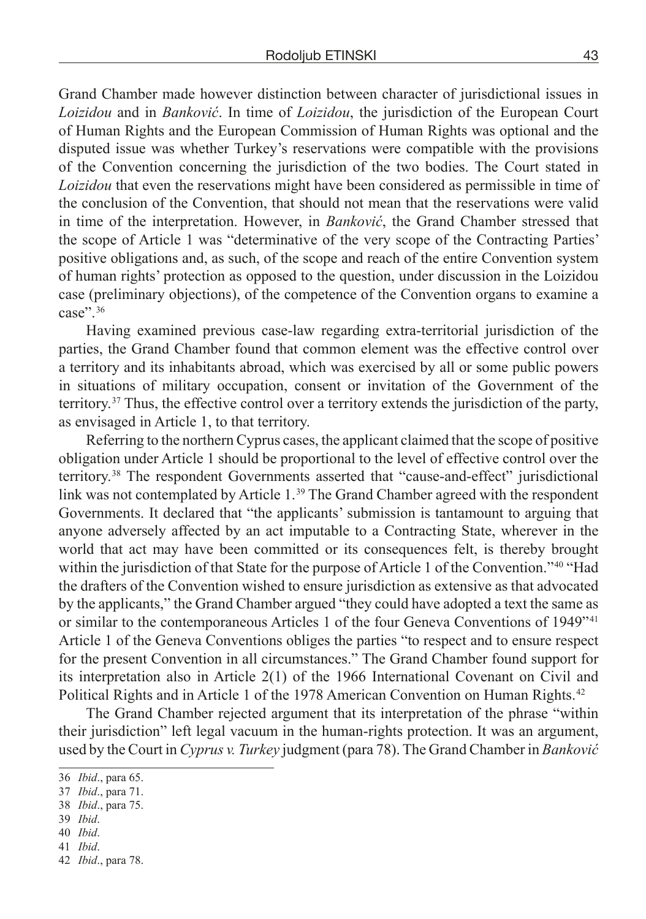Grand Chamber made however distinction between character of jurisdictional issues in *Loizidou* and in *Banković*. In time of *Loizidou*, the jurisdiction of the European Court of Human Rights and the European Commission of Human Rights was optional and the disputed issue was whether Turkey's reservations were compatible with the provisions of the Convention concerning the jurisdiction of the two bodies. The Court stated in *Loizidou* that even the reservations might have been considered as permissible in time of the conclusion of the Convention, that should not mean that the reservations were valid in time of the interpretation. However, in *Banković*, the Grand Chamber stressed that the scope of Article 1 was "determinative of the very scope of the Contracting Parties' positive obligations and, as such, of the scope and reach of the entire Convention system of human rights' protection as opposed to the question, under discussion in the Loizidou case (preliminary objections), of the competence of the Convention organs to examine a case"<sup>36</sup>

Having examined previous case-law regarding extra-territorial jurisdiction of the parties, the Grand Chamber found that common element was the effective control over a territory and its inhabitants abroad, which was exercised by all or some public powers in situations of military occupation, consent or invitation of the Government of the territory.  37 Thus, the effective control over a territory extends the jurisdiction of the party, as envisaged in Article 1, to that territory.

Referring to the northern Cyprus cases, the applicant claimed that the scope of positive obligation under Article 1 should be proportional to the level of effective control over the territory.  38 The respondent Governments asserted that "cause-and-effect" jurisdictional link was not contemplated by Article 1. 39 The Grand Chamber agreed with the respondent Governments. It declared that "the applicants' submission is tantamount to arguing that anyone adversely affected by an act imputable to a Contracting State, wherever in the world that act may have been committed or its consequences felt, is thereby brought within the jurisdiction of that State for the purpose of Article 1 of the Convention.<sup>740</sup> "Had the drafters of the Convention wished to ensure jurisdiction as extensive as that advocated by the applicants," the Grand Chamber argued "they could have adopted a text the same as or similar to the contemporaneous Articles 1 of the four Geneva Conventions of 1949<sup>741</sup> Article 1 of the Geneva Conventions obliges the parties "to respect and to ensure respect for the present Convention in all circumstances." The Grand Chamber found support for its interpretation also in Article 2(1) of the 1966 International Covenant on Civil and Political Rights and in Article 1 of the 1978 American Convention on Human Rights. 42

The Grand Chamber rejected argument that its interpretation of the phrase "within their jurisdiction" left legal vacuum in the human-rights protection. It was an argument, used by the Court in *Cyprus v. Turkey* judgment (para 78). The Grand Chamber in *Banković*

- 39 *Ibid*.
- 40 *Ibid*.
- 41 *Ibid*.

<sup>36</sup> *Ibid*., para 65.

<sup>37</sup> *Ibid*., para 71.

<sup>38</sup> *Ibid*., para 75.

<sup>42</sup> *Ibid*., para 78.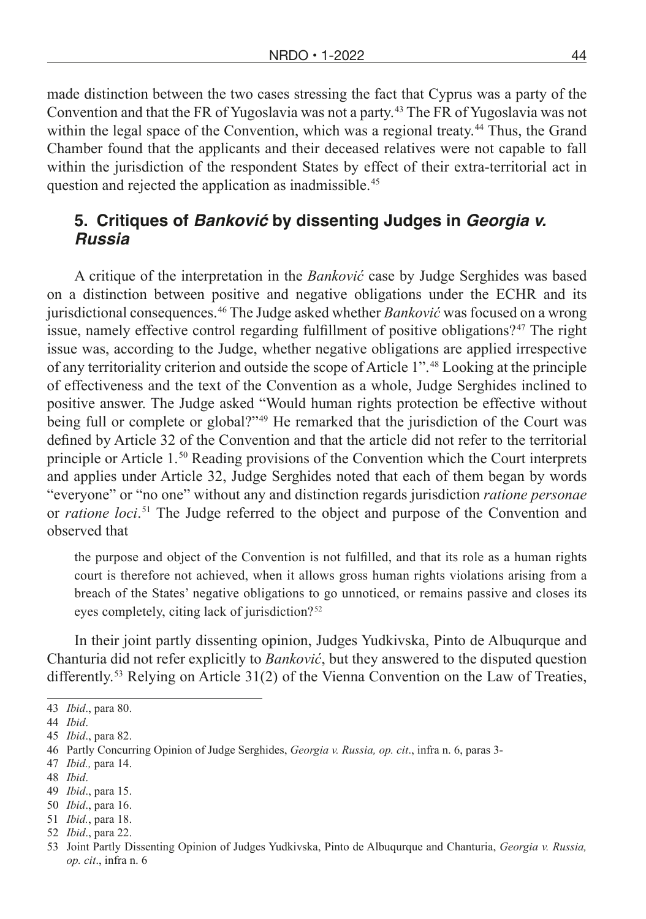made distinction between the two cases stressing the fact that Cyprus was a party of the Convention and that the FR of Yugoslavia was not a party. 43 The FR of Yugoslavia was not within the legal space of the Convention, which was a regional treaty.<sup>44</sup> Thus, the Grand Chamber found that the applicants and their deceased relatives were not capable to fall within the jurisdiction of the respondent States by effect of their extra-territorial act in question and rejected the application as inadmissible. 45

## **5. Critiques of Banković by dissenting Judges in** *Georgia v. Russia*

A critique of the interpretation in the *Banković* case by Judge Serghides was based on a distinction between positive and negative obligations under the ECHR and its jurisdictional consequences. 46 The Judge asked whether *Banković* was focused on a wrong issue, namely effective control regarding fulfillment of positive obligations?<sup>47</sup> The right issue was, according to the Judge, whether negative obligations are applied irrespective of any territoriality criterion and outside the scope of Article 1". 48 Looking at the principle of effectiveness and the text of the Convention as a whole, Judge Serghides inclined to positive answer. The Judge asked "Would human rights protection be effective without being full or complete or global?"<sup>49</sup> He remarked that the jurisdiction of the Court was defined by Article 32 of the Convention and that the article did not refer to the territorial principle or Article  $1<sup>50</sup>$  Reading provisions of the Convention which the Court interprets and applies under Article 32, Judge Serghides noted that each of them began by words "everyone" or "no one" without any and distinction regards jurisdiction *ratione personae* or *ratione loci*.  51 The Judge referred to the object and purpose of the Convention and observed that

the purpose and object of the Convention is not fulfilled, and that its role as a human rights court is therefore not achieved, when it allows gross human rights violations arising from a breach of the States' negative obligations to go unnoticed, or remains passive and closes its eyes completely, citing lack of jurisdiction? 52

In their joint partly dissenting opinion, Judges Yudkivska, Pinto de Albuqurque and Chanturia did not refer explicitly to *Banković*, but they answered to the disputed question differently.<sup>53</sup> Relying on Article 31(2) of the Vienna Convention on the Law of Treaties,

47 *Ibid.,* para 14.

<sup>43</sup> *Ibid*., para 80.

<sup>44</sup> *Ibid*.

<sup>45</sup> *Ibid*., para 82.

<sup>46</sup> Partly Concurring Opinion of Judge Serghides, *Georgia v. Russia, op. cit*., infra n. 6, paras 3-

<sup>48</sup> *Ibid*.

<sup>49</sup> *Ibid*., para 15.

<sup>50</sup> *Ibid*., para 16.

<sup>51</sup> *Ibid.*, para 18.

<sup>52</sup> *Ibid*., para 22.

<sup>53</sup> Joint Partly Dissenting Opinion of Judges Yudkivska, Pinto de Albuqurque and Chanturia, *Georgia v. Russia, op. cit*., infra n. 6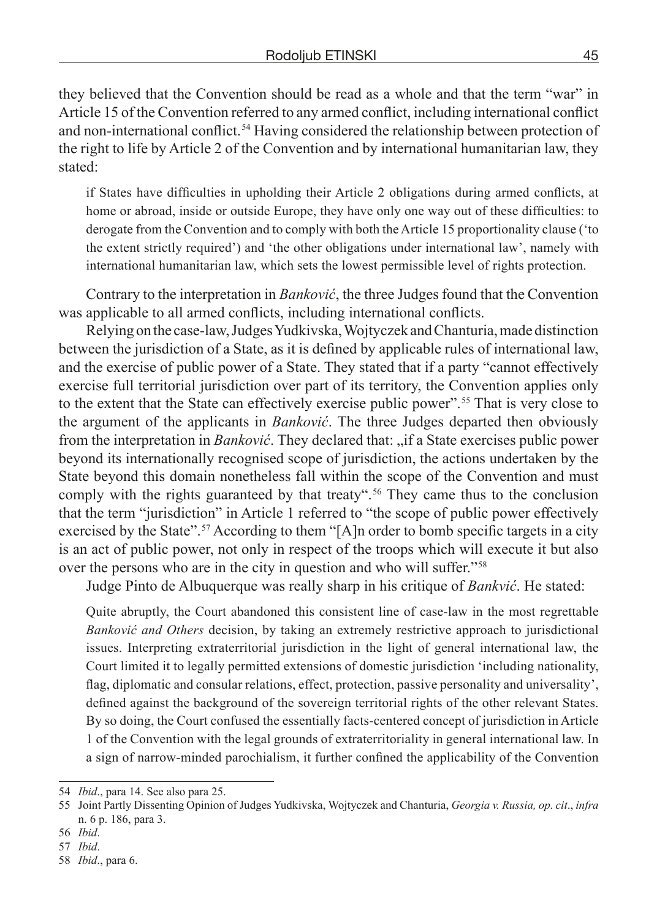they believed that the Convention should be read as a whole and that the term "war" in Article 15 of the Convention referred to any armed conflict, including international conflict and non-international conflict. 54 Having considered the relationship between protection of the right to life by Article 2 of the Convention and by international humanitarian law, they stated:

if States have difficulties in upholding their Article 2 obligations during armed conflicts, at home or abroad, inside or outside Europe, they have only one way out of these difficulties: to derogate from the Convention and to comply with both the Article 15 proportionality clause ('to the extent strictly required') and 'the other obligations under international law', namely with international humanitarian law, which sets the lowest permissible level of rights protection.

Contrary to the interpretation in *Banković*, the three Judges found that the Convention was applicable to all armed conflicts, including international conflicts.

Relying on the case-law, Judges Yudkivska, Wojtyczek and Chanturia, made distinction between the jurisdiction of a State, as it is defined by applicable rules of international law, and the exercise of public power of a State. They stated that if a party "cannot effectively exercise full territorial jurisdiction over part of its territory, the Convention applies only to the extent that the State can effectively exercise public power". 55 That is very close to the argument of the applicants in *Banković*. The three Judges departed then obviously from the interpretation in *Banković*. They declared that: "if a State exercises public power beyond its internationally recognised scope of jurisdiction, the actions undertaken by the State beyond this domain nonetheless fall within the scope of the Convention and must comply with the rights guaranteed by that treaty". 56 They came thus to the conclusion that the term "jurisdiction" in Article 1 referred to "the scope of public power effectively exercised by the State".<sup>57</sup> According to them "[A]n order to bomb specific targets in a city is an act of public power, not only in respect of the troops which will execute it but also over the persons who are in the city in question and who will suffer." 58

Judge Pinto de Albuquerque was really sharp in his critique of *Bankvić*. He stated:

Quite abruptly, the Court abandoned this consistent line of case-law in the most regrettable *Banković and Others* decision, by taking an extremely restrictive approach to jurisdictional issues. Interpreting extraterritorial jurisdiction in the light of general international law, the Court limited it to legally permitted extensions of domestic jurisdiction 'including nationality, flag, diplomatic and consular relations, effect, protection, passive personality and universality', defined against the background of the sovereign territorial rights of the other relevant States. By so doing, the Court confused the essentially facts-centered concept of jurisdiction in Article 1 of the Convention with the legal grounds of extraterritoriality in general international law. In a sign of narrow-minded parochialism, it further confined the applicability of the Convention

57 *Ibid*.

<sup>54</sup> *Ibid*., para 14. See also para 25.

<sup>55</sup> Joint Partly Dissenting Opinion of Judges Yudkivska, Wojtyczek and Chanturia, *Georgia v. Russia, op. cit*., *infra* n. 6 p. 186, para 3.

<sup>56</sup> *Ibid*.

<sup>58</sup> *Ibid*., para 6.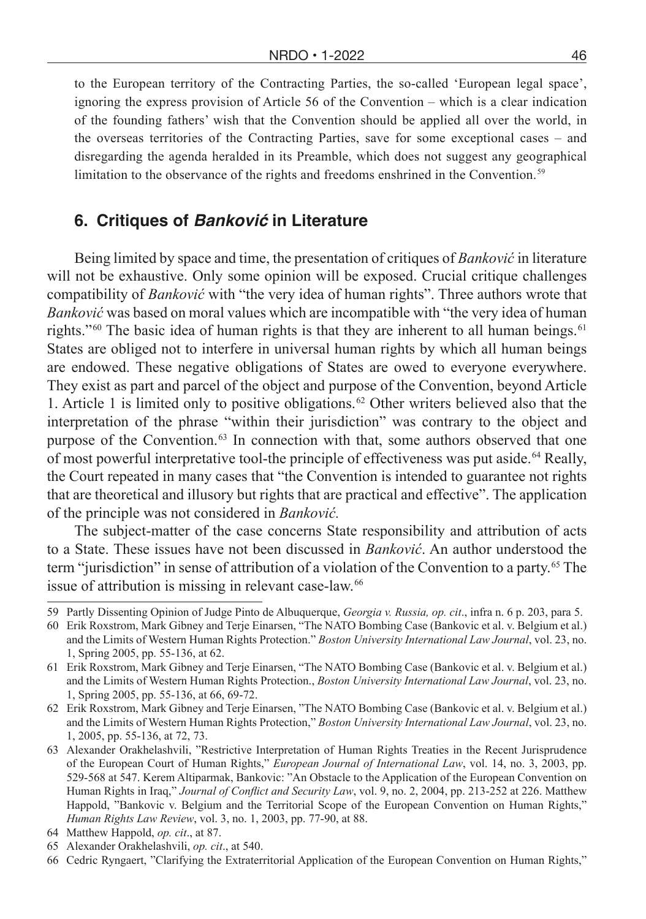to the European territory of the Contracting Parties, the so-called 'European legal space', ignoring the express provision of Article 56 of the Convention – which is a clear indication of the founding fathers' wish that the Convention should be applied all over the world, in the overseas territories of the Contracting Parties, save for some exceptional cases – and disregarding the agenda heralded in its Preamble, which does not suggest any geographical limitation to the observance of the rights and freedoms enshrined in the Convention. 59

#### **6. Critiques of Banković in Literature**

Being limited by space and time, the presentation of critiques of *Banković* in literature will not be exhaustive. Only some opinion will be exposed. Crucial critique challenges compatibility of *Banković* with "the very idea of human rights". Three authors wrote that *Banković* was based on moral values which are incompatible with "the very idea of human rights."<sup> $60$ </sup> The basic idea of human rights is that they are inherent to all human beings.<sup>61</sup> States are obliged not to interfere in universal human rights by which all human beings are endowed. These negative obligations of States are owed to everyone everywhere. They exist as part and parcel of the object and purpose of the Convention, beyond Article 1. Article 1 is limited only to positive obligations. 62 Other writers believed also that the interpretation of the phrase "within their jurisdiction" was contrary to the object and purpose of the Convention. 63 In connection with that, some authors observed that one of most powerful interpretative tool-the principle of effectiveness was put aside. 64 Really, the Court repeated in many cases that "the Convention is intended to guarantee not rights that are theoretical and illusory but rights that are practical and effective". The application of the principle was not considered in *Banković.*

The subject-matter of the case concerns State responsibility and attribution of acts to a State. These issues have not been discussed in *Banković*. An author understood the term "jurisdiction" in sense of attribution of a violation of the Convention to a party. 65 The issue of attribution is missing in relevant case-law. 66

64 Matthew Happold, *op. cit*., at 87.

<sup>59</sup> Partly Dissenting Opinion of Judge Pinto de Albuquerque, *Georgia v. Russia, op. cit*., infra n. 6 p. 203, para 5.

<sup>60</sup> Erik Roxstrom, Mark Gibney and Terje Einarsen, "The NATO Bombing Case (Bankovic et al. v. Belgium et al.) and the Limits of Western Human Rights Protection." *Boston University International Law Journal*, vol. 23, no. 1, Spring 2005, pp. 55-136, at 62.

<sup>61</sup> Erik Roxstrom, Mark Gibney and Terje Einarsen, "The NATO Bombing Case (Bankovic et al. v. Belgium et al.) and the Limits of Western Human Rights Protection., *Boston University International Law Journal*, vol. 23, no. 1, Spring 2005, pp. 55-136, at 66, 69-72.

<sup>62</sup> Erik Roxstrom, Mark Gibney and Terje Einarsen, "The NATO Bombing Case (Bankovic et al. v. Belgium et al.) and the Limits of Western Human Rights Protection," *Boston University International Law Journal*, vol. 23, no. 1, 2005, pp. 55-136, at 72, 73.

<sup>63</sup> Alexander Orakhelashvili, "Restrictive Interpretation of Human Rights Treaties in the Recent Jurisprudence of the European Court of Human Rights," *European Journal of International Law*, vol. 14, no. 3, 2003, pp. 529-568 at 547. Kerem Altiparmak, Bankovic: "An Obstacle to the Application of the European Convention on Human Rights in Iraq," *Journal of Conflict and Security Law*, vol. 9, no. 2, 2004, pp. 213-252 at 226. Matthew Happold, "Bankovic v. Belgium and the Territorial Scope of the European Convention on Human Rights," *Human Rights Law Review*, vol. 3, no. 1, 2003, pp. 77-90, at 88.

<sup>65</sup> Alexander Orakhelashvili, *op. cit*., at 540.

<sup>66</sup> Cedric Ryngaert, "Clarifying the Extraterritorial Application of the European Convention on Human Rights,"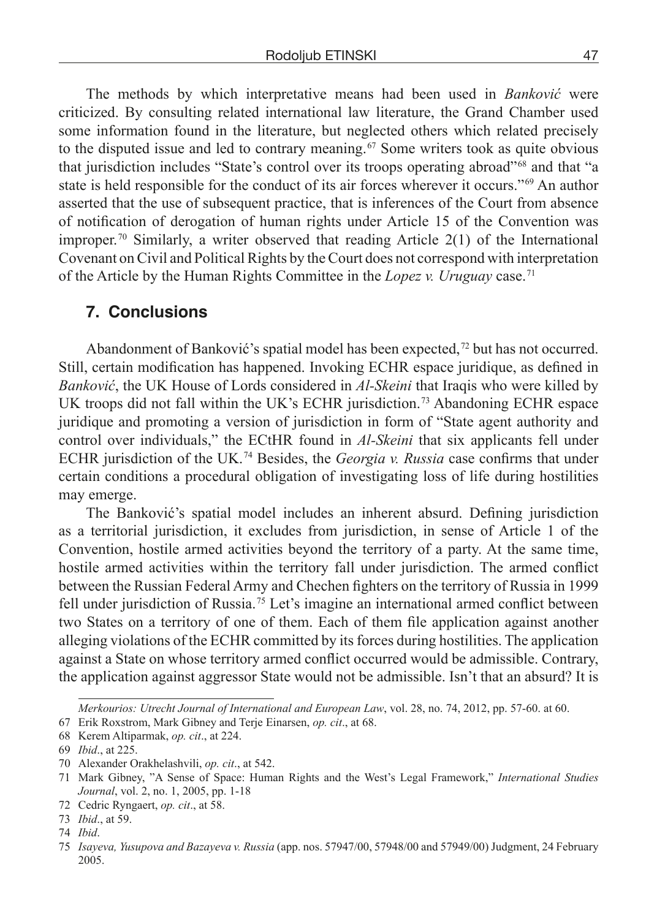The methods by which interpretative means had been used in *Banković* were criticized. By consulting related international law literature, the Grand Chamber used some information found in the literature, but neglected others which related precisely to the disputed issue and led to contrary meaning. 67 Some writers took as quite obvious that jurisdiction includes "State's control over its troops operating abroad" 68 and that "a state is held responsible for the conduct of its air forces wherever it occurs."<sup>69</sup> An author asserted that the use of subsequent practice, that is inferences of the Court from absence of notification of derogation of human rights under Article 15 of the Convention was improper.<sup>70</sup> Similarly, a writer observed that reading Article  $2(1)$  of the International Covenant on Civil and Political Rights by the Court does not correspond with interpretation of the Article by the Human Rights Committee in the *Lopez v. Uruguay* case.<sup>71</sup>

#### **7. Conclusions**

Abandonment of Banković's spatial model has been expected, 72 but has not occurred. Still, certain modification has happened. Invoking ECHR espace juridique, as defined in *Banković*, the UK House of Lords considered in *Al-Skeini* that Iraqis who were killed by UK troops did not fall within the UK's ECHR jurisdiction. 73 Abandoning ECHR espace juridique and promoting a version of jurisdiction in form of "State agent authority and control over individuals," the ECtHR found in *Al-Skeini* that six applicants fell under ECHR jurisdiction of the UK. 74 Besides, the *Georgia v. Russia* case confirms that under certain conditions a procedural obligation of investigating loss of life during hostilities may emerge.

The Banković's spatial model includes an inherent absurd. Defining jurisdiction as a territorial jurisdiction, it excludes from jurisdiction, in sense of Article 1 of the Convention, hostile armed activities beyond the territory of a party. At the same time, hostile armed activities within the territory fall under jurisdiction. The armed conflict between the Russian Federal Army and Chechen fighters on the territory of Russia in 1999 fell under jurisdiction of Russia. 75 Let's imagine an international armed conflict between two States on a territory of one of them. Each of them file application against another alleging violations of the ECHR committed by its forces during hostilities. The application against a State on whose territory armed conflict occurred would be admissible. Contrary, the application against aggressor State would not be admissible. Isn't that an absurd? It is

*Merkourios: Utrecht Journal of International and European Law*, vol. 28, no. 74, 2012, pp. 57-60. at 60.

<sup>67</sup> Erik Roxstrom, Mark Gibney and Terje Einarsen, *op. cit*., at 68.

<sup>68</sup> Kerem Altiparmak, *op. cit*., at 224.

<sup>69</sup> *Ibid*., at 225.

<sup>70</sup> Alexander Orakhelashvili, *op. cit*., at 542.

<sup>71</sup> Mark Gibney, "A Sense of Space: Human Rights and the West's Legal Framework," *International Studies Journal*, vol. 2, no. 1, 2005, pp. 1-18

<sup>72</sup> Cedric Ryngaert, *op. cit*., at 58.

<sup>73</sup> *Ibid*., at 59.

<sup>74</sup> *Ibid*.

<sup>75</sup> *Isayeva, Yusupova and Bazayeva v. Russia* (app. nos. 57947/00, 57948/00 and 57949/00) Judgment, 24 February 2005.